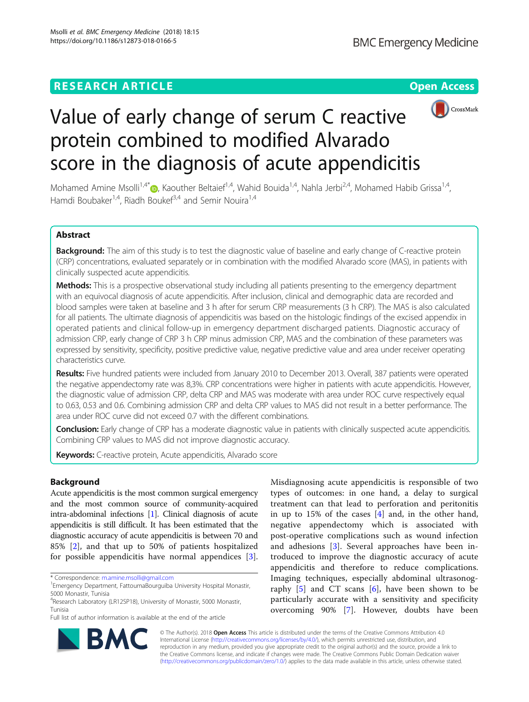## **RESEARCH ARTICLE Example 2018 12:30 THE Open Access**



# Value of early change of serum C reactive protein combined to modified Alvarado score in the diagnosis of acute appendicitis

Mohamed Amine Msolli<sup>1[,](http://orcid.org/0000-0002-0432-1245)4\*</sup> $\bullet$ , Kaouther Beltaief<sup>1,4</sup>, Wahid Bouida<sup>1,4</sup>, Nahla Jerbi<sup>2,4</sup>, Mohamed Habib Grissa<sup>1,4</sup>, Hamdi Boubaker<sup>1,4</sup>, Riadh Bouker<sup>3,4</sup> and Semir Nouira<sup>1,4</sup>

## Abstract

Background: The aim of this study is to test the diagnostic value of baseline and early change of C-reactive protein (CRP) concentrations, evaluated separately or in combination with the modified Alvarado score (MAS), in patients with clinically suspected acute appendicitis.

Methods: This is a prospective observational study including all patients presenting to the emergency department with an equivocal diagnosis of acute appendicitis. After inclusion, clinical and demographic data are recorded and blood samples were taken at baseline and 3 h after for serum CRP measurements (3 h CRP). The MAS is also calculated for all patients. The ultimate diagnosis of appendicitis was based on the histologic findings of the excised appendix in operated patients and clinical follow-up in emergency department discharged patients. Diagnostic accuracy of admission CRP, early change of CRP 3 h CRP minus admission CRP, MAS and the combination of these parameters was expressed by sensitivity, specificity, positive predictive value, negative predictive value and area under receiver operating characteristics curve.

Results: Five hundred patients were included from January 2010 to December 2013. Overall, 387 patients were operated the negative appendectomy rate was 8,3%. CRP concentrations were higher in patients with acute appendicitis. However, the diagnostic value of admission CRP, delta CRP and MAS was moderate with area under ROC curve respectively equal to 0.63, 0.53 and 0.6. Combining admission CRP and delta CRP values to MAS did not result in a better performance. The area under ROC curve did not exceed 0.7 with the different combinations.

Conclusion: Early change of CRP has a moderate diagnostic value in patients with clinically suspected acute appendicitis. Combining CRP values to MAS did not improve diagnostic accuracy.

Keywords: C-reactive protein, Acute appendicitis, Alvarado score

## Background

Acute appendicitis is the most common surgical emergency and the most common source of community-acquired intra-abdominal infections [\[1](#page-5-0)]. Clinical diagnosis of acute appendicitis is still difficult. It has been estimated that the diagnostic accuracy of acute appendicitis is between 70 and 85% [[2\]](#page-5-0), and that up to 50% of patients hospitalized for possible appendicitis have normal appendices [\[3](#page-5-0)].

\* Correspondence: [m.amine.msolli@gmail.com](mailto:m.amine.msolli@gmail.com) <sup>1</sup>

Full list of author information is available at the end of the article

Misdiagnosing acute appendicitis is responsible of two types of outcomes: in one hand, a delay to surgical treatment can that lead to perforation and peritonitis in up to 15% of the cases [[4](#page-5-0)] and, in the other hand, negative appendectomy which is associated with post-operative complications such as wound infection and adhesions [[3\]](#page-5-0). Several approaches have been introduced to improve the diagnostic accuracy of acute appendicitis and therefore to reduce complications. Imaging techniques, especially abdominal ultrasonography  $[5]$  $[5]$  and CT scans  $[6]$  $[6]$ , have been shown to be particularly accurate with a sensitivity and specificity overcoming 90% [[7](#page-5-0)]. However, doubts have been



© The Author(s). 2018 Open Access This article is distributed under the terms of the Creative Commons Attribution 4.0 International License [\(http://creativecommons.org/licenses/by/4.0/](http://creativecommons.org/licenses/by/4.0/)), which permits unrestricted use, distribution, and reproduction in any medium, provided you give appropriate credit to the original author(s) and the source, provide a link to the Creative Commons license, and indicate if changes were made. The Creative Commons Public Domain Dedication waiver [\(http://creativecommons.org/publicdomain/zero/1.0/](http://creativecommons.org/publicdomain/zero/1.0/)) applies to the data made available in this article, unless otherwise stated.

Emergency Department, FattoumaBourguiba University Hospital Monastir, 5000 Monastir, Tunisia

<sup>&</sup>lt;sup>4</sup>Research Laboratory (LR12SP18), University of Monastir, 5000 Monastir, Tunisia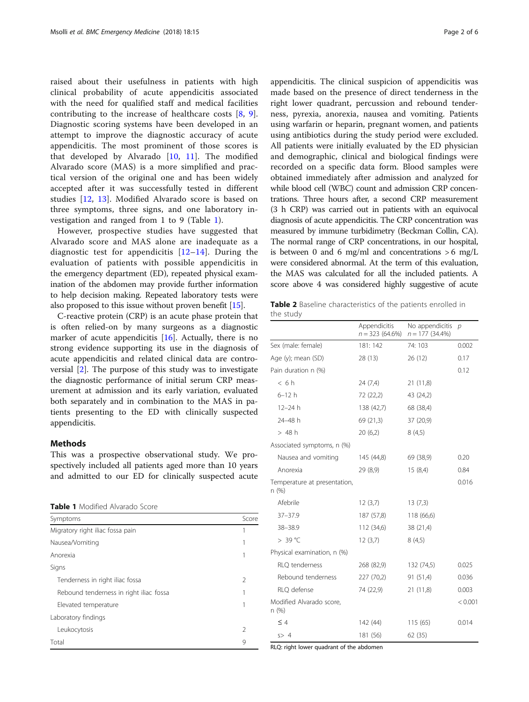<span id="page-1-0"></span>raised about their usefulness in patients with high clinical probability of acute appendicitis associated with the need for qualified staff and medical facilities contributing to the increase of healthcare costs [[8,](#page-5-0) [9](#page-5-0)]. Diagnostic scoring systems have been developed in an attempt to improve the diagnostic accuracy of acute appendicitis. The most prominent of those scores is that developed by Alvarado  $[10, 11]$  $[10, 11]$  $[10, 11]$  $[10, 11]$  $[10, 11]$ . The modified Alvarado score (MAS) is a more simplified and practical version of the original one and has been widely accepted after it was successfully tested in different studies [\[12](#page-5-0), [13](#page-5-0)]. Modified Alvarado score is based on three symptoms, three signs, and one laboratory investigation and ranged from 1 to 9 (Table 1).

However, prospective studies have suggested that Alvarado score and MAS alone are inadequate as a diagnostic test for appendicitis  $[12-14]$  $[12-14]$  $[12-14]$  $[12-14]$ . During the evaluation of patients with possible appendicitis in the emergency department (ED), repeated physical examination of the abdomen may provide further information to help decision making. Repeated laboratory tests were also proposed to this issue without proven benefit [\[15\]](#page-5-0).

C-reactive protein (CRP) is an acute phase protein that is often relied-on by many surgeons as a diagnostic marker of acute appendicitis [[16\]](#page-5-0). Actually, there is no strong evidence supporting its use in the diagnosis of acute appendicitis and related clinical data are controversial [[2\]](#page-5-0). The purpose of this study was to investigate the diagnostic performance of initial serum CRP measurement at admission and its early variation, evaluated both separately and in combination to the MAS in patients presenting to the ED with clinically suspected appendicitis.

#### Methods

This was a prospective observational study. We prospectively included all patients aged more than 10 years and admitted to our ED for clinically suspected acute

| <b>Table 1</b> Modified Alvarado Score |
|----------------------------------------|
|----------------------------------------|

| Symptoms                                | Score         |
|-----------------------------------------|---------------|
| Migratory right iliac fossa pain        |               |
| Nausea/Vomiting                         |               |
| Anorexia                                |               |
| Signs                                   |               |
| Tenderness in right iliac fossa         | $\mathcal{P}$ |
| Rebound tenderness in right iliac fossa |               |
| Elevated temperature                    |               |
| Laboratory findings                     |               |
| Leukocytosis                            | $\mathcal{P}$ |
| Total                                   | 9             |

appendicitis. The clinical suspicion of appendicitis was made based on the presence of direct tenderness in the right lower quadrant, percussion and rebound tenderness, pyrexia, anorexia, nausea and vomiting. Patients using warfarin or heparin, pregnant women, and patients using antibiotics during the study period were excluded. All patients were initially evaluated by the ED physician and demographic, clinical and biological findings were recorded on a specific data form. Blood samples were obtained immediately after admission and analyzed for while blood cell (WBC) count and admission CRP concentrations. Three hours after, a second CRP measurement (3 h CRP) was carried out in patients with an equivocal diagnosis of acute appendicitis. The CRP concentration was measured by immune turbidimetry (Beckman Collin, CA). The normal range of CRP concentrations, in our hospital, is between 0 and 6 mg/ml and concentrations  $> 6$  mg/L were considered abnormal. At the term of this evaluation, the MAS was calculated for all the included patients. A score above 4 was considered highly suggestive of acute

Table 2 Baseline characteristics of the patients enrolled in the study

|                                       | Appendicitis<br>$n = 323(64.6\%)$ | No appendicitis<br>$n = 177(34.4\%)$ | $\mathcal{D}$ |
|---------------------------------------|-----------------------------------|--------------------------------------|---------------|
| Sex (male: female)                    | 181: 142                          | 74: 103                              | 0.002         |
| Age (y); mean (SD)                    | 28 (13)                           | 26 (12)                              | 0.17          |
| Pain duration n (%)                   |                                   |                                      | 0.12          |
| < 6h                                  | 24(7,4)                           | 21 (11,8)                            |               |
| $6 - 12h$                             | 72 (22,2)                         | 43 (24,2)                            |               |
| $12 - 24 h$                           | 138 (42,7)                        | 68 (38,4)                            |               |
| 24-48 h                               | 69 (21,3)                         | 37 (20,9)                            |               |
| > 48 h                                | 20(6,2)                           | 8(4,5)                               |               |
| Associated symptoms, n (%)            |                                   |                                      |               |
| Nausea and vomiting                   | 145 (44,8)                        | 69 (38,9)                            | 0.20          |
| Anorexia                              | 29 (8,9)                          | 15(8,4)                              | 0.84          |
| Temperature at presentation,<br>n (%) |                                   |                                      | 0.016         |
| Afebrile                              | 12(3,7)                           | 13(7,3)                              |               |
| 37-37.9                               | 187 (57,8)                        | 118 (66,6)                           |               |
| 38-38.9                               | 112 (34,6)                        | 38 (21,4)                            |               |
| > 39 °C                               | 12(3,7)                           | 8(4,5)                               |               |
| Physical examination, n (%)           |                                   |                                      |               |
| RLQ tenderness                        | 268 (82,9)                        | 132 (74,5)                           | 0.025         |
| Rebound tenderness                    | 227 (70,2)                        | 91 (51,4)                            | 0.036         |
| RLQ defense                           | 74 (22,9)                         | 21 (11,8)                            | 0.003         |
| Modified Alvarado score,<br>n (%)     |                                   |                                      | < 0.001       |
| $\leq 4$                              | 142 (44)                          | 115(65)                              | 0.014         |
| s > 4                                 | 181 (56)                          | 62(35)                               |               |

RLQ: right lower quadrant of the abdomen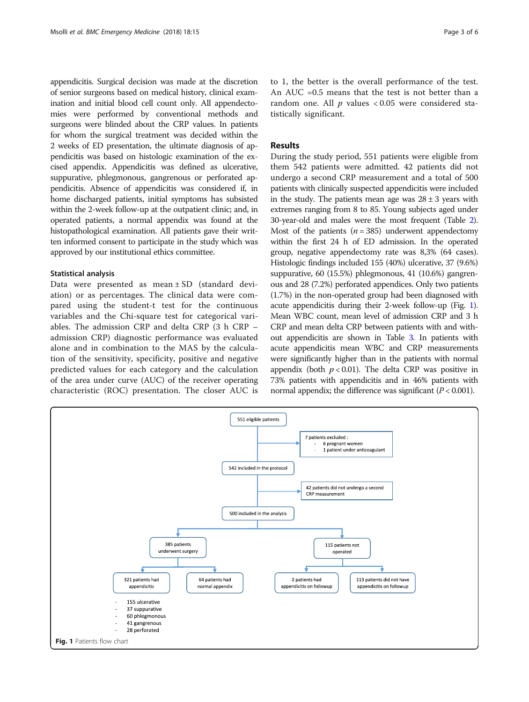appendicitis. Surgical decision was made at the discretion of senior surgeons based on medical history, clinical examination and initial blood cell count only. All appendectomies were performed by conventional methods and surgeons were blinded about the CRP values. In patients for whom the surgical treatment was decided within the 2 weeks of ED presentation, the ultimate diagnosis of appendicitis was based on histologic examination of the excised appendix. Appendicitis was defined as ulcerative, suppurative, phlegmonous, gangrenous or perforated appendicitis. Absence of appendicitis was considered if, in home discharged patients, initial symptoms has subsisted within the 2-week follow-up at the outpatient clinic; and, in operated patients, a normal appendix was found at the histopathological examination. All patients gave their written informed consent to participate in the study which was approved by our institutional ethics committee.

#### Statistical analysis

Data were presented as mean ± SD (standard deviation) or as percentages. The clinical data were compared using the student-t test for the continuous variables and the Chi-square test for categorical variables. The admission CRP and delta CRP (3 h CRP – admission CRP) diagnostic performance was evaluated alone and in combination to the MAS by the calculation of the sensitivity, specificity, positive and negative predicted values for each category and the calculation of the area under curve (AUC) of the receiver operating characteristic (ROC) presentation. The closer AUC is to 1, the better is the overall performance of the test. An AUC =0.5 means that the test is not better than a random one. All  $p$  values < 0.05 were considered statistically significant.

#### Results

During the study period, 551 patients were eligible from them 542 patients were admitted. 42 patients did not undergo a second CRP measurement and a total of 500 patients with clinically suspected appendicitis were included in the study. The patients mean age was  $28 \pm 3$  years with extremes ranging from 8 to 85. Young subjects aged under 30-year-old and males were the most frequent (Table [2](#page-1-0)). Most of the patients ( $n = 385$ ) underwent appendectomy within the first 24 h of ED admission. In the operated group, negative appendectomy rate was 8,3% (64 cases). Histologic findings included 155 (40%) ulcerative, 37 (9.6%) suppurative, 60 (15.5%) phlegmonous, 41 (10.6%) gangrenous and 28 (7.2%) perforated appendices. Only two patients (1.7%) in the non-operated group had been diagnosed with acute appendicitis during their 2-week follow-up (Fig. 1). Mean WBC count, mean level of admission CRP and 3 h CRP and mean delta CRP between patients with and without appendicitis are shown in Table [3](#page-3-0). In patients with acute appendicitis mean WBC and CRP measurements were significantly higher than in the patients with normal appendix (both  $p < 0.01$ ). The delta CRP was positive in 73% patients with appendicitis and in 46% patients with normal appendix; the difference was significant  $(P < 0.001)$ .

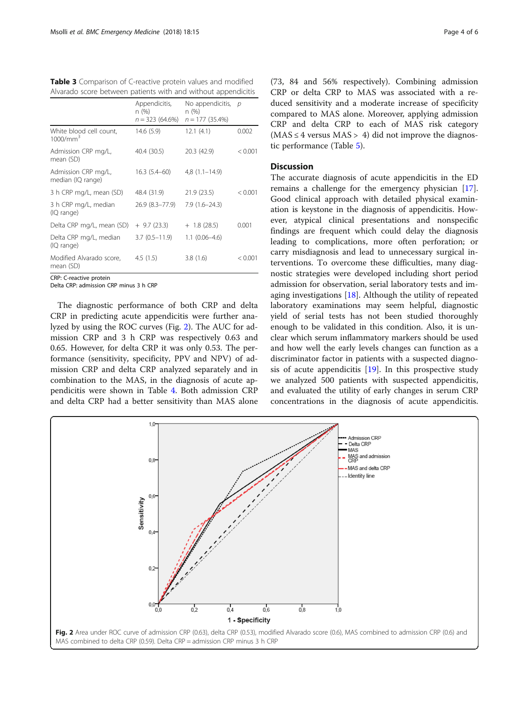<span id="page-3-0"></span>

|  |  |  | Table 3 Comparison of C-reactive protein values and modified  |
|--|--|--|---------------------------------------------------------------|
|  |  |  | Alvarado score between patients with and without appendicitis |

|                                                 | Appendicitis,<br>n (%)<br>$n = 323(64.6\%)$ | No appendicitis,<br>n (%)<br>$n = 177(35.4\%)$ | $\mathcal{D}$ |
|-------------------------------------------------|---------------------------------------------|------------------------------------------------|---------------|
| White blood cell count,<br>1000/mm <sup>3</sup> | 14.6 (5.9)                                  | 12.1(4.1)                                      | 0.002         |
| Admission CRP mg/L,<br>mean (SD)                | 40.4 (30.5)                                 | 20.3 (42.9)                                    | < 0.001       |
| Admission CRP mg/L,<br>median (IQ range)        | 16.3 (5.4–60)                               | $4,8(1.1-14.9)$                                |               |
| 3 h CRP mg/L, mean (SD)                         | 48.4 (31.9)                                 | 21.9 (23.5)                                    | < 0.001       |
| 3 h CRP mg/L, median<br>(IQ range)              | 26.9 (8.3–77.9)                             | $7.9(1.6-24.3)$                                |               |
| Delta CRP mg/L, mean (SD)                       | $+$ 9.7 (23.3)                              | $+ 1.8(28.5)$                                  | 0.001         |
| Delta CRP mg/L, median<br>(IQ range)            | $3.7(0.5-11.9)$                             | $1.1(0.06-4.6)$                                |               |
| Modified Alvarado score,<br>mean (SD)           | 4.5(1.5)                                    | 3.8(1.6)                                       | < 0.001       |

CRP: C-reactive protein

Delta CRP: admission CRP minus 3 h CRP

The diagnostic performance of both CRP and delta CRP in predicting acute appendicitis were further analyzed by using the ROC curves (Fig. 2). The AUC for admission CRP and 3 h CRP was respectively 0.63 and 0.65. However, for delta CRP it was only 0.53. The performance (sensitivity, specificity, PPV and NPV) of admission CRP and delta CRP analyzed separately and in combination to the MAS, in the diagnosis of acute appendicitis were shown in Table [4](#page-4-0). Both admission CRP and delta CRP had a better sensitivity than MAS alone (73, 84 and 56% respectively). Combining admission CRP or delta CRP to MAS was associated with a reduced sensitivity and a moderate increase of specificity compared to MAS alone. Moreover, applying admission CRP and delta CRP to each of MAS risk category  $(MAS \leq 4$  versus  $MAS > 4$ ) did not improve the diagnostic performance (Table [5\)](#page-4-0).

#### Discussion

The accurate diagnosis of acute appendicitis in the ED remains a challenge for the emergency physician [\[17](#page-5-0)]. Good clinical approach with detailed physical examination is keystone in the diagnosis of appendicitis. However, atypical clinical presentations and nonspecific findings are frequent which could delay the diagnosis leading to complications, more often perforation; or carry misdiagnosis and lead to unnecessary surgical interventions. To overcome these difficulties, many diagnostic strategies were developed including short period admission for observation, serial laboratory tests and imaging investigations [[18\]](#page-5-0). Although the utility of repeated laboratory examinations may seem helpful, diagnostic yield of serial tests has not been studied thoroughly enough to be validated in this condition. Also, it is unclear which serum inflammatory markers should be used and how well the early levels changes can function as a discriminator factor in patients with a suspected diagnosis of acute appendicitis  $[19]$ . In this prospective study we analyzed 500 patients with suspected appendicitis, and evaluated the utility of early changes in serum CRP concentrations in the diagnosis of acute appendicitis.

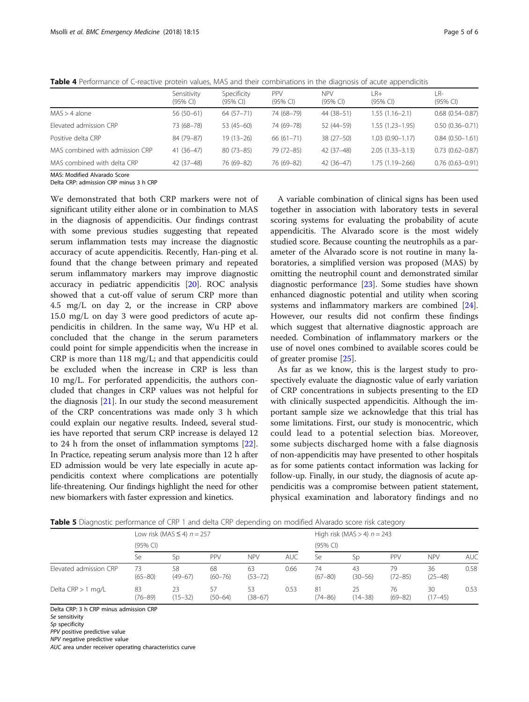|                                 | Sensitivity<br>$(95% \text{ Cl})$ | Specificity<br>(95% Cl) | <b>PPV</b><br>$(95% \text{ Cl})$ | <b>NPV</b><br>$(95%$ CI) | l R+<br>(95% Cl)    | l R-<br>$(95%$ CI)  |
|---------------------------------|-----------------------------------|-------------------------|----------------------------------|--------------------------|---------------------|---------------------|
| $MAS > 4$ alone                 | $56(50-61)$                       | $64(57-71)$             | 74 (68-79)                       | 44 (38-51)               | $1.55(1.16-2.1)$    | $0.68(0.54 - 0.87)$ |
| Elevated admission CRP          | 73 (68-78)                        | $53(45-60)$             | 74 (69-78)                       | 52 (44-59)               | $1.55(1.23 - 1.95)$ | $0.50(0.36 - 0.71)$ |
| Positive delta CRP              | 84 (79-87)                        | $19(13-26)$             | $66(61 - 71)$                    | $38(27-50)$              | $1.03(0.90 - 1.17)$ | $0.84(0.50 - 1.61)$ |
| MAS combined with admission CRP | $41(36-47)$                       | $80(73 - 85)$           | 79 (72-85)                       | $42(37-48)$              | $2.05(1.33 - 3.13)$ | $0.73(0.62 - 0.87)$ |
| MAS combined with delta CRP     | $42(37-48)$                       | 76 (69-82)              | 76 (69-82)                       | $42(36-47)$              | $1.75(1.19 - 2.66)$ | $0.76(0.63 - 0.91)$ |
|                                 |                                   |                         |                                  |                          |                     |                     |

<span id="page-4-0"></span>Table 4 Performance of C-reactive protein values, MAS and their combinations in the diagnosis of acute appendicitis

MAS: Modified Alvarado Score

Delta CRP: admission CRP minus 3 h CRP

We demonstrated that both CRP markers were not of significant utility either alone or in combination to MAS in the diagnosis of appendicitis. Our findings contrast with some previous studies suggesting that repeated serum inflammation tests may increase the diagnostic accuracy of acute appendicitis. Recently, Han-ping et al. found that the change between primary and repeated serum inflammatory markers may improve diagnostic accuracy in pediatric appendicitis [[20\]](#page-5-0). ROC analysis showed that a cut-off value of serum CRP more than 4.5 mg/L on day 2, or the increase in CRP above 15.0 mg/L on day 3 were good predictors of acute appendicitis in children. In the same way, Wu HP et al. concluded that the change in the serum parameters could point for simple appendicitis when the increase in CRP is more than 118 mg/L; and that appendicitis could be excluded when the increase in CRP is less than 10 mg/L. For perforated appendicitis, the authors concluded that changes in CRP values was not helpful for the diagnosis [\[21](#page-5-0)]. In our study the second measurement of the CRP concentrations was made only 3 h which could explain our negative results. Indeed, several studies have reported that serum CRP increase is delayed 12 to 24 h from the onset of inflammation symptoms [\[22](#page-5-0)]. In Practice, repeating serum analysis more than 12 h after ED admission would be very late especially in acute appendicitis context where complications are potentially life-threatening. Our findings highlight the need for other new biomarkers with faster expression and kinetics.

A variable combination of clinical signs has been used together in association with laboratory tests in several scoring systems for evaluating the probability of acute appendicitis. The Alvarado score is the most widely studied score. Because counting the neutrophils as a parameter of the Alvarado score is not routine in many laboratories, a simplified version was proposed (MAS) by omitting the neutrophil count and demonstrated similar diagnostic performance [[23\]](#page-5-0). Some studies have shown enhanced diagnostic potential and utility when scoring systems and inflammatory markers are combined [\[24](#page-5-0)]. However, our results did not confirm these findings which suggest that alternative diagnostic approach are needed. Combination of inflammatory markers or the use of novel ones combined to available scores could be of greater promise [\[25\]](#page-5-0).

As far as we know, this is the largest study to prospectively evaluate the diagnostic value of early variation of CRP concentrations in subjects presenting to the ED with clinically suspected appendicitis. Although the important sample size we acknowledge that this trial has some limitations. First, our study is monocentric, which could lead to a potential selection bias. Moreover, some subjects discharged home with a false diagnosis of non-appendicitis may have presented to other hospitals as for some patients contact information was lacking for follow-up. Finally, in our study, the diagnosis of acute appendicitis was a compromise between patient statement, physical examination and laboratory findings and no

**Table 5** Diagnostic performance of CRP 1 and delta CRP depending on modified Alvarado score risk category

|                        | Low risk (MAS $\leq$ 4) $n = 257$<br>(95% CI) |                   |                   |                    | High risk (MAS $>$ 4) $n = 243$<br>$(95%$ CI) |                   |                   |                   |                   |            |
|------------------------|-----------------------------------------------|-------------------|-------------------|--------------------|-----------------------------------------------|-------------------|-------------------|-------------------|-------------------|------------|
|                        |                                               |                   |                   |                    |                                               |                   |                   |                   |                   |            |
|                        | Se                                            | Sp                | PPV               | <b>NPV</b>         | AUC                                           | Se                | Sp                | PPV               | <b>NPV</b>        | <b>AUC</b> |
| Elevated admission CRP | 73<br>$(65 - 80)$                             | 58<br>$(49 - 67)$ | 68<br>$(60 - 76)$ | 63<br>$(53 - 72)$  | 0.66                                          | 74<br>$(67 - 80)$ | 43<br>$(30 - 56)$ | 79<br>$(72 - 85)$ | 36<br>$(25 - 48)$ | 0.58       |
| Delta CRP > 1 mg/L     | 83<br>$(76 - 89)$                             | 23<br>$(15 - 32)$ | 57<br>$(50 - 64)$ | 53.<br>$(38 - 67)$ | 0.53                                          | 81<br>$(74 - 86)$ | 25<br>$(14 - 38)$ | 76<br>$(69 - 82)$ | 30<br>$(17-45)$   | 0.53       |

Delta CRP: 3 h CRP minus admission CRP

Se sensitivity

Sp specificity

PPV positive predictive value

NPV negative predictive value

AUC area under receiver operating characteristics curve